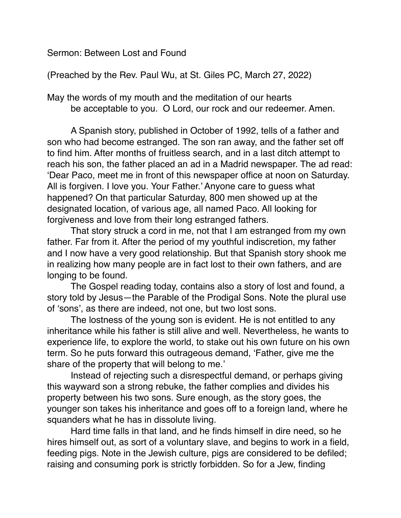Sermon: Between Lost and Found

(Preached by the Rev. Paul Wu, at St. Giles PC, March 27, 2022)

May the words of my mouth and the meditation of our hearts be acceptable to you. O Lord, our rock and our redeemer. Amen.

A Spanish story, published in October of 1992, tells of a father and son who had become estranged. The son ran away, and the father set off to find him. After months of fruitless search, and in a last ditch attempt to reach his son, the father placed an ad in a Madrid newspaper. The ad read: 'Dear Paco, meet me in front of this newspaper office at noon on Saturday. All is forgiven. I love you. Your Father.' Anyone care to guess what happened? On that particular Saturday, 800 men showed up at the designated location, of various age, all named Paco. All looking for forgiveness and love from their long estranged fathers.

That story struck a cord in me, not that I am estranged from my own father. Far from it. After the period of my youthful indiscretion, my father and I now have a very good relationship. But that Spanish story shook me in realizing how many people are in fact lost to their own fathers, and are longing to be found.

The Gospel reading today, contains also a story of lost and found, a story told by Jesus—the Parable of the Prodigal Sons. Note the plural use of 'sons', as there are indeed, not one, but two lost sons.

The lostness of the young son is evident. He is not entitled to any inheritance while his father is still alive and well. Nevertheless, he wants to experience life, to explore the world, to stake out his own future on his own term. So he puts forward this outrageous demand, 'Father, give me the share of the property that will belong to me.'

Instead of rejecting such a disrespectful demand, or perhaps giving this wayward son a strong rebuke, the father complies and divides his property between his two sons. Sure enough, as the story goes, the younger son takes his inheritance and goes off to a foreign land, where he squanders what he has in dissolute living.

Hard time falls in that land, and he finds himself in dire need, so he hires himself out, as sort of a voluntary slave, and begins to work in a field, feeding pigs. Note in the Jewish culture, pigs are considered to be defiled; raising and consuming pork is strictly forbidden. So for a Jew, finding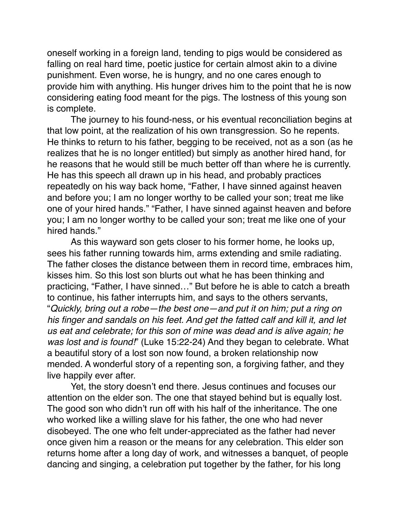oneself working in a foreign land, tending to pigs would be considered as falling on real hard time, poetic justice for certain almost akin to a divine punishment. Even worse, he is hungry, and no one cares enough to provide him with anything. His hunger drives him to the point that he is now considering eating food meant for the pigs. The lostness of this young son is complete.

The journey to his found-ness, or his eventual reconciliation begins at that low point, at the realization of his own transgression. So he repents. He thinks to return to his father, begging to be received, not as a son (as he realizes that he is no longer entitled) but simply as another hired hand, for he reasons that he would still be much better off than where he is currently. He has this speech all drawn up in his head, and probably practices repeatedly on his way back home, "Father, I have sinned against heaven and before you; I am no longer worthy to be called your son; treat me like one of your hired hands." "Father, I have sinned against heaven and before you; I am no longer worthy to be called your son; treat me like one of your hired hands."

As this wayward son gets closer to his former home, he looks up, sees his father running towards him, arms extending and smile radiating. The father closes the distance between them in record time, embraces him, kisses him. So this lost son blurts out what he has been thinking and practicing, "Father, I have sinned…" But before he is able to catch a breath to continue, his father interrupts him, and says to the others servants, "*Quickly, bring out a robe—the best one—and put it on him; put a ring on his finger and sandals on his feet. And get the fatted calf and kill it, and let us eat and celebrate; for this son of mine was dead and is alive again; he was lost and is found!*" (Luke 15:22-24) And they began to celebrate. What a beautiful story of a lost son now found, a broken relationship now mended. A wonderful story of a repenting son, a forgiving father, and they live happily ever after.

Yet, the story doesn't end there. Jesus continues and focuses our attention on the elder son. The one that stayed behind but is equally lost. The good son who didn't run off with his half of the inheritance. The one who worked like a willing slave for his father, the one who had never disobeyed. The one who felt under-appreciated as the father had never once given him a reason or the means for any celebration. This elder son returns home after a long day of work, and witnesses a banquet, of people dancing and singing, a celebration put together by the father, for his long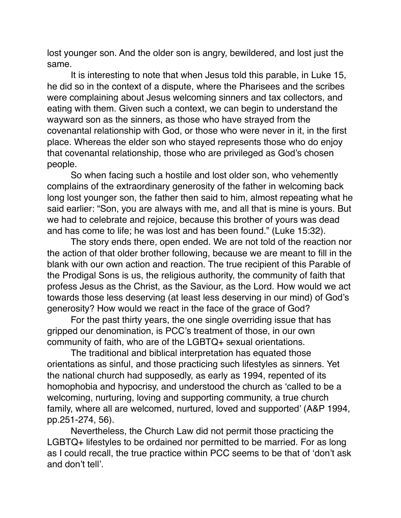lost younger son. And the older son is angry, bewildered, and lost just the same.

It is interesting to note that when Jesus told this parable, in Luke 15, he did so in the context of a dispute, where the Pharisees and the scribes were complaining about Jesus welcoming sinners and tax collectors, and eating with them. Given such a context, we can begin to understand the wayward son as the sinners, as those who have strayed from the covenantal relationship with God, or those who were never in it, in the first place. Whereas the elder son who stayed represents those who do enjoy that covenantal relationship, those who are privileged as God's chosen people.

So when facing such a hostile and lost older son, who vehemently complains of the extraordinary generosity of the father in welcoming back long lost younger son, the father then said to him, almost repeating what he said earlier: "Son, you are always with me, and all that is mine is yours. But we had to celebrate and rejoice, because this brother of yours was dead and has come to life; he was lost and has been found." (Luke 15:32).

The story ends there, open ended. We are not told of the reaction nor the action of that older brother following, because we are meant to fill in the blank with our own action and reaction. The true recipient of this Parable of the Prodigal Sons is us, the religious authority, the community of faith that profess Jesus as the Christ, as the Saviour, as the Lord. How would we act towards those less deserving (at least less deserving in our mind) of God's generosity? How would we react in the face of the grace of God?

For the past thirty years, the one single overriding issue that has gripped our denomination, is PCC's treatment of those, in our own community of faith, who are of the LGBTQ+ sexual orientations.

The traditional and biblical interpretation has equated those orientations as sinful, and those practicing such lifestyles as sinners. Yet the national church had supposedly, as early as 1994, repented of its homophobia and hypocrisy, and understood the church as 'called to be a welcoming, nurturing, loving and supporting community, a true church family, where all are welcomed, nurtured, loved and supported' (A&P 1994, pp.251-274, 56).

Nevertheless, the Church Law did not permit those practicing the LGBTQ+ lifestyles to be ordained nor permitted to be married. For as long as I could recall, the true practice within PCC seems to be that of 'don't ask and don't tell'.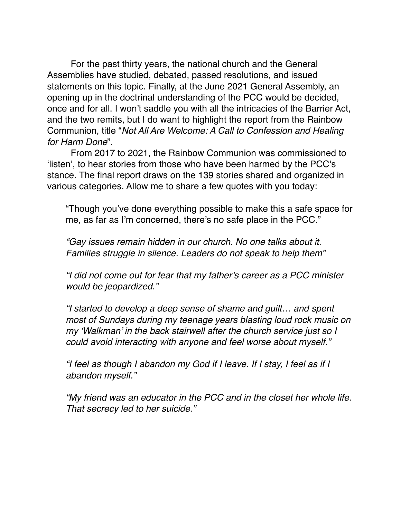For the past thirty years, the national church and the General Assemblies have studied, debated, passed resolutions, and issued statements on this topic. Finally, at the June 2021 General Assembly, an opening up in the doctrinal understanding of the PCC would be decided, once and for all. I won't saddle you with all the intricacies of the Barrier Act, and the two remits, but I do want to highlight the report from the Rainbow Communion, title "*Not All Are Welcome: A Call to Confession and Healing for Harm Done*".

From 2017 to 2021, the Rainbow Communion was commissioned to 'listen', to hear stories from those who have been harmed by the PCC's stance. The final report draws on the 139 stories shared and organized in various categories. Allow me to share a few quotes with you today:

"Though you've done everything possible to make this a safe space for me, as far as I'm concerned, there's no safe place in the PCC."

*"Gay issues remain hidden in our church. No one talks about it. Families struggle in silence. Leaders do not speak to help them"*

*"I did not come out for fear that my father's career as a PCC minister would be jeopardized."*

*"I started to develop a deep sense of shame and guilt… and spent most of Sundays during my teenage years blasting loud rock music on my 'Walkman' in the back stairwell after the church service just so I could avoid interacting with anyone and feel worse about myself."*

*"I feel as though I abandon my God if I leave. If I stay, I feel as if I abandon myself."* 

*"My friend was an educator in the PCC and in the closet her whole life. That secrecy led to her suicide."*